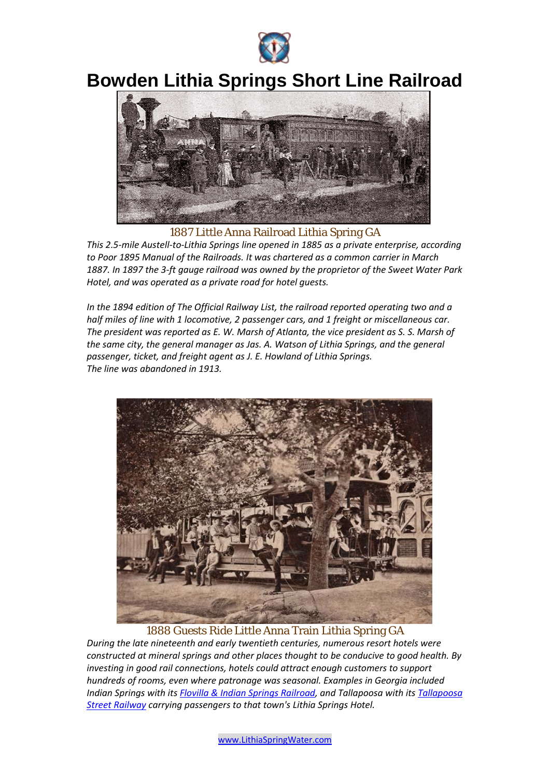

## **Bowden Lithia Springs Short Line Railroad**



1887 Little Anna Railroad Lithia Spring GA

*This 2.5-mile Austell-to-Lithia Springs line opened in 1885 as a private enterprise, according to Poor 1895 Manual of the Railroads. It was chartered as a common carrier in March 1887. In 1897 the 3-ft gauge railroad was owned by the proprietor of the Sweet Water Park Hotel, and was operated as a private road for hotel guests.* 

*In the 1894 edition of The Official Railway List, the railroad reported operating two and a half miles of line with 1 locomotive, 2 passenger cars, and 1 freight or miscellaneous car. The president was reported as E. W. Marsh of Atlanta, the vice president as S. S. Marsh of the same city, the general manager as Jas. A. Watson of Lithia Springs, and the general passenger, ticket, and freight agent as J. E. Howland of Lithia Springs. The line was abandoned in 1913.* 



1888 Guests Ride Little Anna Train Lithia Spring GA

*During the late nineteenth and early twentieth centuries, numerous resort hotels were constructed at mineral springs and other places thought to be conducive to good health. By investing in good rail connections, hotels could attract enough customers to support hundreds of rooms, even where patronage was seasonal. Examples in Georgia included Indian Springs with its Flovilla & Indian Springs Railroad, and Tallapoosa with its Tallapoosa Street Railway carrying passengers to that town's Lithia Springs Hotel.*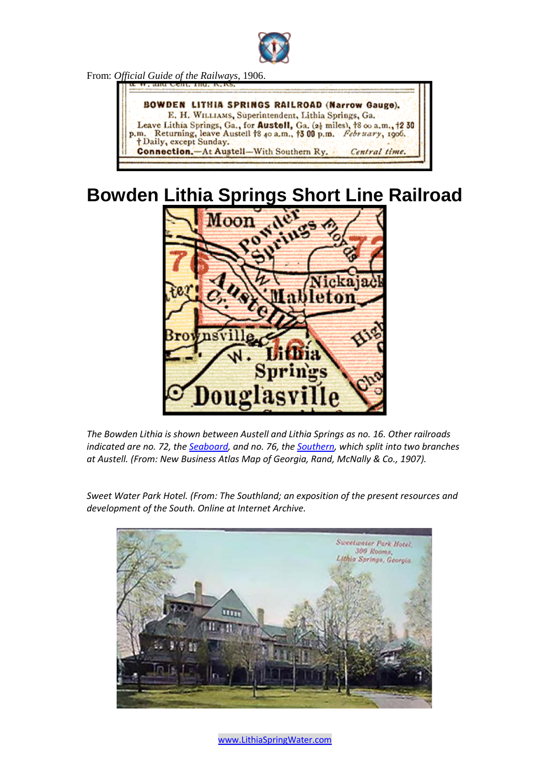

From: *Official Guide of the Railways*, 1906.



## **Bowden Lithia Springs Short Line Railroad**



*The Bowden Lithia is shown between Austell and Lithia Springs as no. 16. Other railroads indicated are no. 72, the Seaboard, and no. 76, the Southern, which split into two branches at Austell. (From: New Business Atlas Map of Georgia, Rand, McNally & Co., 1907).* 

*Sweet Water Park Hotel. (From: The Southland; an exposition of the present resources and development of the South. Online at Internet Archive.* 



[www.LithiaSpringWater.com](http://www.lithiaspringwater.com/)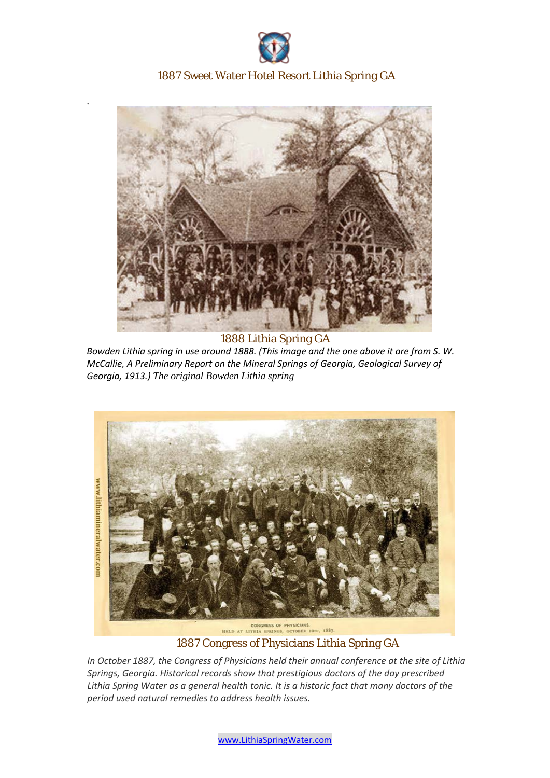

## 1887 Sweet Water Hotel Resort Lithia Spring GA

.



1888 Lithia Spring GA *Bowden Lithia spring in use around 1888. (This image and the one above it are from S. W.* 

*McCallie, A Preliminary Report on the Mineral Springs of Georgia, Geological Survey of Georgia, 1913.) The original Bowden Lithia spring*



1887 Congress of Physicians Lithia Spring GA

*In October 1887, the Congress of Physicians held their annual conference at the site of Lithia Springs, Georgia. Historical records show that prestigious doctors of the day prescribed Lithia Spring Water as a general health tonic. It is a historic fact that many doctors of the period used natural remedies to address health issues.*